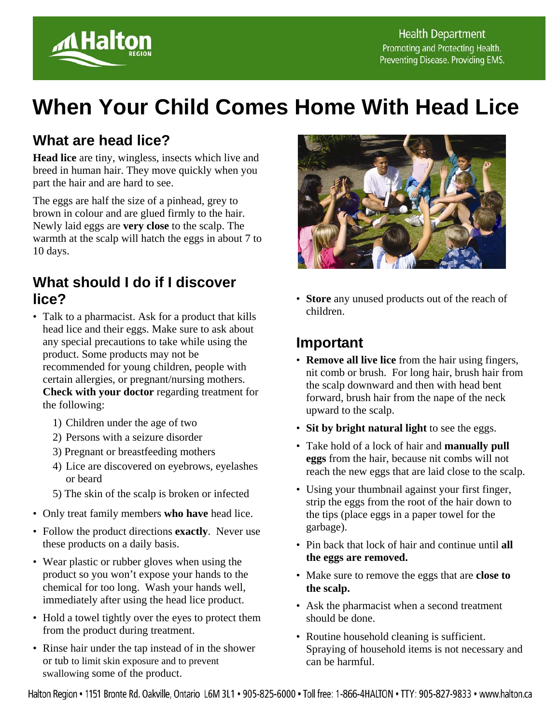

# **When Your Child Comes Home With Head Lice**

## **What are head lice?**

**Head lice** are tiny, wingless, insects which live and breed in human hair. They move quickly when you part the hair and are hard to see.

The eggs are half the size of a pinhead, grey to brown in colour and are glued firmly to the hair. Newly laid eggs are **very close** to the scalp. The warmth at the scalp will hatch the eggs in about 7 to 10 days.

### **What should I do if I discover lice?**

- Talk to a pharmacist. Ask for a product that kills head lice and their eggs. Make sure to ask about any special precautions to take while using the product. Some products may not be recommended for young children, people with certain allergies, or pregnant/nursing mothers. **Check with your doctor** regarding treatment for the following:
	- 1) Children under the age of two
	- 2) Persons with a seizure disorder
	- 3) Pregnant or breastfeeding mothers
	- 4) Lice are discovered on eyebrows, eyelashes or beard
	- 5) The skin of the scalp is broken or infected
- Only treat family members **who have** head lice.
- Follow the product directions **exactly**. Never use these products on a daily basis.
- Wear plastic or rubber gloves when using the product so you won't expose your hands to the chemical for too long. Wash your hands well, immediately after using the head lice product.
- Hold a towel tightly over the eyes to protect them from the product during treatment.
- Rinse hair under the tap instead of in the shower or tub to limit skin exposure and to prevent swallowing some of the product.



• **Store** any unused products out of the reach of children.

### **Important**

- **Remove all live lice** from the hair using fingers, nit comb or brush. For long hair, brush hair from the scalp downward and then with head bent forward, brush hair from the nape of the neck upward to the scalp.
- **Sit by bright natural light** to see the eggs.
- Take hold of a lock of hair and **manually pull eggs** from the hair, because nit combs will not reach the new eggs that are laid close to the scalp.
- Using your thumbnail against your first finger, strip the eggs from the root of the hair down to the tips (place eggs in a paper towel for the garbage).
- Pin back that lock of hair and continue until **all the eggs are removed.**
- Make sure to remove the eggs that are **close to the scalp.**
- Ask the pharmacist when a second treatment should be done.
- Routine household cleaning is sufficient. Spraying of household items is not necessary and can be harmful.

Halton Region • 1151 Bronte Rd. Oakville, Ontario L6M 3L1 • 905-825-6000 • Toll free: 1-866-4HALTON • TTY: 905-827-9833 • www.halton.ca